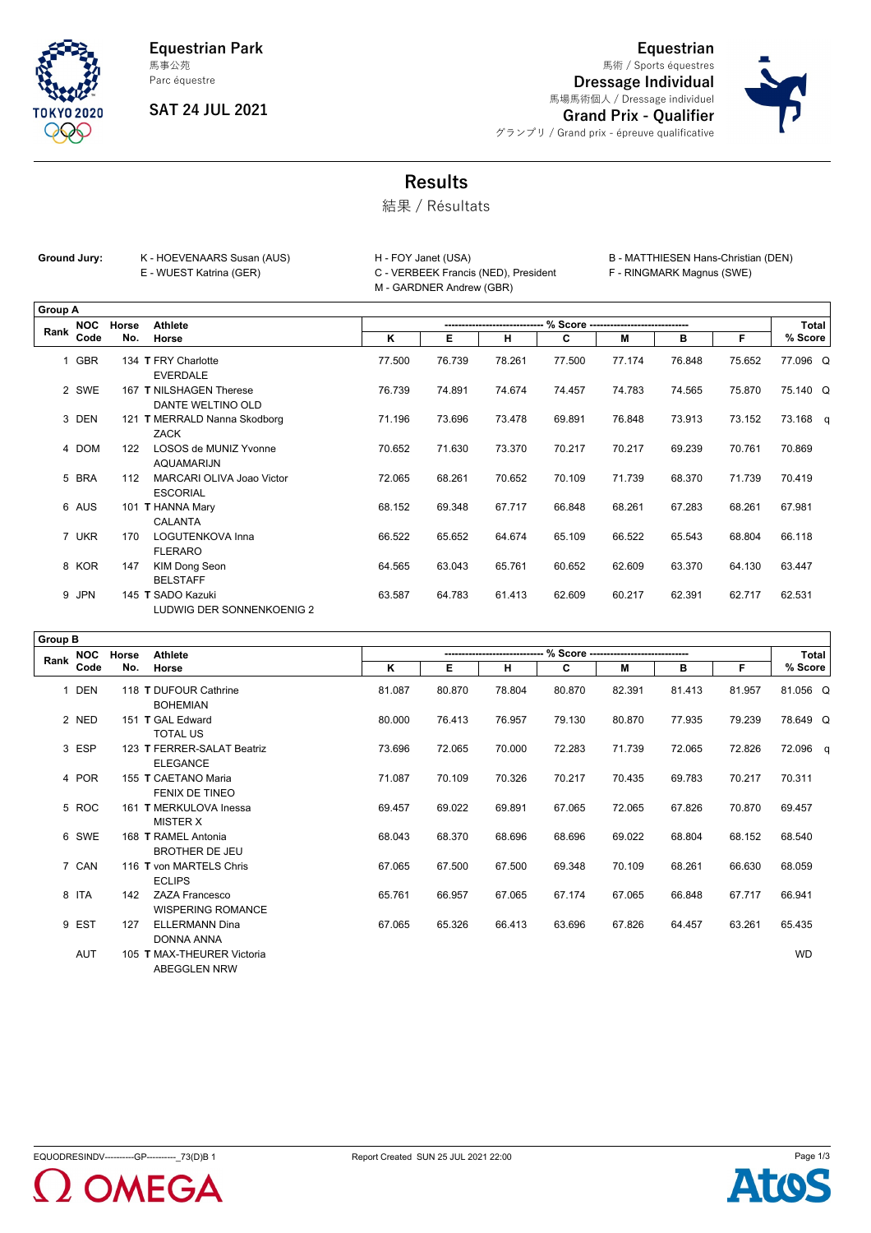**Equestrian Park** 馬事公苑

Parc équestre

**TOKYO 2020** OSA

## **SAT 24 JUL 2021**

**Equestrian** 馬術 / Sports équestres

**Dressage Individual** 馬場馬術個人 / Dressage individuel



**Grand Prix - Qualifier** グランプリ / Grand prix - épreuve qualificative

## **Results**

結果 / Résultats

| Ground Jury: | K - HOEVENAARS Susan (AUS) | H - FOY Janet (USA)                  |
|--------------|----------------------------|--------------------------------------|
|              | E - WUEST Katrina (GER)    | C - VERBEEK Francis (NED), President |
|              |                            | M - GARDNER Andrew (GBR)             |

B - MATTHIESEN Hans-Christian (DEN)

F - RINGMARK Magnus (SWE)

|                | <b>Group A</b> |       |                                                |        |        |        |        |        |        |        |          |
|----------------|----------------|-------|------------------------------------------------|--------|--------|--------|--------|--------|--------|--------|----------|
| Rank           | <b>NOC</b>     | Horse | <b>Athlete</b>                                 |        |        |        |        |        |        |        | Total    |
|                | Code           | No.   | Horse                                          | K      | Е      | н      | C      | M      | в      | F      | % Score  |
| $\overline{1}$ | <b>GBR</b>     |       | 134 T FRY Charlotte<br><b>EVERDALE</b>         | 77.500 | 76.739 | 78.261 | 77.500 | 77.174 | 76.848 | 75.652 | 77.096 Q |
|                | 2 SWE          |       | 167 T NILSHAGEN Therese<br>DANTE WELTINO OLD   | 76.739 | 74.891 | 74.674 | 74.457 | 74.783 | 74.565 | 75.870 | 75.140 Q |
|                | 3 DEN          |       | 121 T MERRALD Nanna Skodborg<br><b>ZACK</b>    | 71.196 | 73.696 | 73.478 | 69.891 | 76.848 | 73.913 | 73.152 | 73.168 q |
|                | 4 DOM          | 122   | LOSOS de MUNIZ Yvonne<br>AQUAMARIJN            | 70.652 | 71.630 | 73.370 | 70.217 | 70.217 | 69.239 | 70.761 | 70.869   |
|                | 5 BRA          | 112   | MARCARI OLIVA Joao Victor<br><b>ESCORIAL</b>   | 72.065 | 68.261 | 70.652 | 70.109 | 71.739 | 68.370 | 71.739 | 70.419   |
|                | 6 AUS          |       | 101 T HANNA Mary<br>CALANTA                    | 68.152 | 69.348 | 67.717 | 66.848 | 68.261 | 67.283 | 68.261 | 67.981   |
|                | 7 UKR          | 170   | <b>LOGUTENKOVA Inna</b><br><b>FLERARO</b>      | 66.522 | 65.652 | 64.674 | 65.109 | 66.522 | 65.543 | 68.804 | 66.118   |
|                | 8 KOR          | 147   | <b>KIM Dong Seon</b><br><b>BELSTAFF</b>        | 64.565 | 63.043 | 65.761 | 60.652 | 62.609 | 63.370 | 64.130 | 63.447   |
|                | 9 JPN          |       | 145 T SADO Kazuki<br>LUDWIG DER SONNENKOENIG 2 | 63.587 | 64.783 | 61.413 | 62.609 | 60.217 | 62.391 | 62.717 | 62.531   |

| <b>Group B</b> |            |       |                                                   |        |        |        |        |                                      |        |        |           |
|----------------|------------|-------|---------------------------------------------------|--------|--------|--------|--------|--------------------------------------|--------|--------|-----------|
| Rank           | <b>NOC</b> | Horse | <b>Athlete</b>                                    |        |        |        |        | % Score ---------------------------- |        |        | Total     |
|                | Code       | No.   | Horse                                             | κ      | Е      | н      | C      | М                                    | в      | F.     | % Score   |
| $\mathbf{1}$   | DEN        |       | 118 T DUFOUR Cathrine<br><b>BOHEMIAN</b>          | 81.087 | 80.870 | 78.804 | 80.870 | 82.391                               | 81.413 | 81.957 | 81.056 Q  |
|                | 2 NED      |       | 151 T GAL Edward<br><b>TOTAL US</b>               | 80.000 | 76.413 | 76.957 | 79.130 | 80.870                               | 77.935 | 79.239 | 78.649 Q  |
|                | 3 ESP      |       | 123 T FERRER-SALAT Beatriz<br><b>ELEGANCE</b>     | 73.696 | 72.065 | 70.000 | 72.283 | 71.739                               | 72.065 | 72.826 | 72.096 q  |
|                | 4 POR      |       | 155 T CAETANO Maria<br>FENIX DE TINEO             | 71.087 | 70.109 | 70.326 | 70.217 | 70.435                               | 69.783 | 70.217 | 70.311    |
|                | 5 ROC      |       | 161 T MERKULOVA Inessa<br><b>MISTER X</b>         | 69.457 | 69.022 | 69.891 | 67.065 | 72.065                               | 67.826 | 70.870 | 69.457    |
|                | 6 SWE      |       | 168 T RAMEL Antonia<br>BROTHER DE JEU             | 68.043 | 68.370 | 68.696 | 68.696 | 69.022                               | 68.804 | 68.152 | 68.540    |
|                | 7 CAN      |       | 116 T von MARTELS Chris<br><b>ECLIPS</b>          | 67.065 | 67.500 | 67.500 | 69.348 | 70.109                               | 68.261 | 66.630 | 68.059    |
|                | 8 ITA      | 142   | <b>ZAZA Francesco</b><br><b>WISPERING ROMANCE</b> | 65.761 | 66.957 | 67.065 | 67.174 | 67.065                               | 66.848 | 67.717 | 66.941    |
|                | 9 EST      | 127   | <b>ELLERMANN Dina</b><br>DONNA ANNA               | 67.065 | 65.326 | 66.413 | 63.696 | 67.826                               | 64.457 | 63.261 | 65.435    |
|                | AUT        |       | 105 T MAX-THEURER Victoria<br><b>ABEGGLEN NRW</b> |        |        |        |        |                                      |        |        | <b>WD</b> |



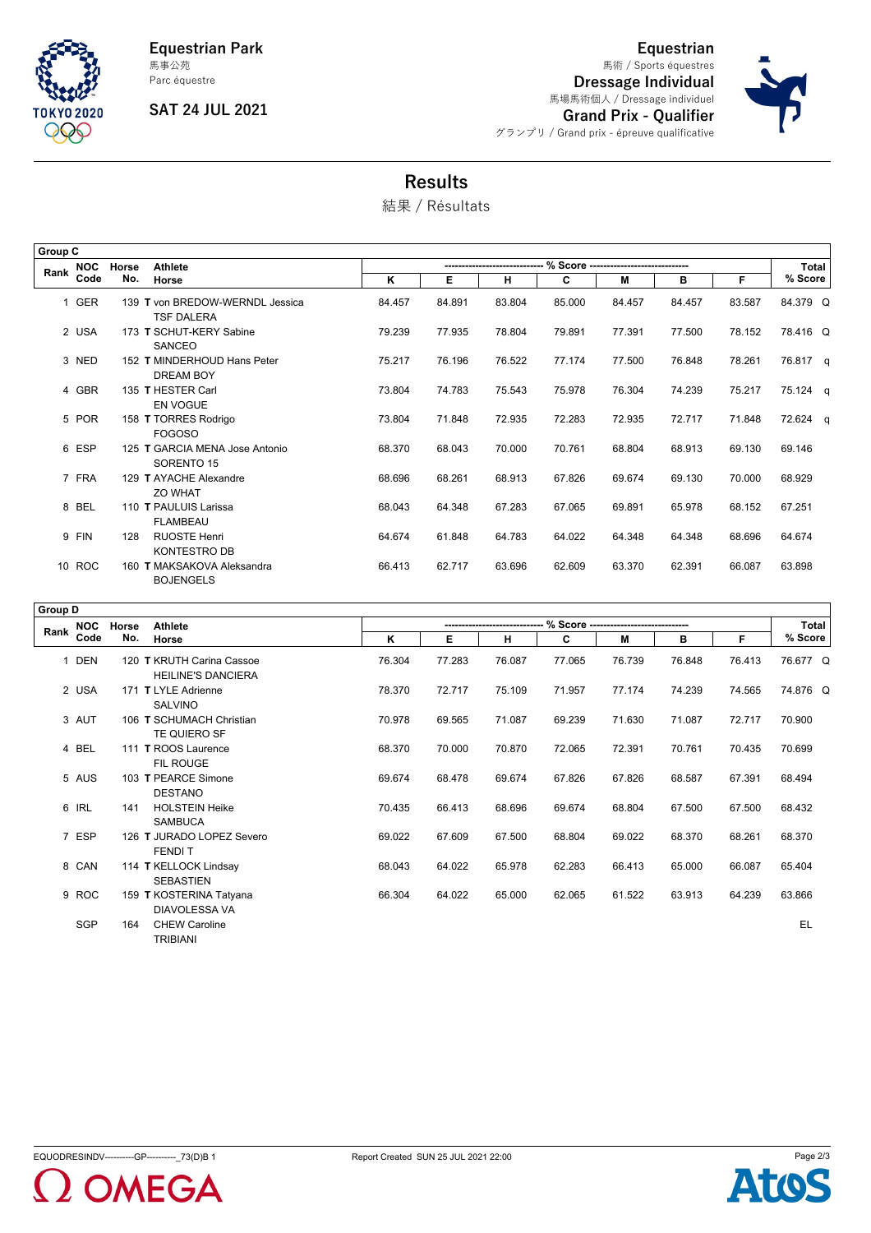

**Equestrian Park** Parc équestre 馬事公苑

**SAT 24 JUL 2021**

**Dressage Individual** 馬場馬術個人 / Dressage individuel **Grand Prix - Qualifier** グランプリ / Grand prix - épreuve qualificative 馬術 / Sports équestres

**Equestrian**



## **Results**

結果 / Résultats

| Group C |            |       |                                                      |                          |        |        |        |        |        |        |          |
|---------|------------|-------|------------------------------------------------------|--------------------------|--------|--------|--------|--------|--------|--------|----------|
| Rank    | <b>NOC</b> | Horse | <b>Athlete</b>                                       | % Score ---------------- |        |        |        |        |        |        | Total    |
|         | Code       | No.   | Horse                                                | K                        | Е      | н      | C      | M      | в      | F.     | % Score  |
|         | 1 GER      |       | 139 T von BREDOW-WERNDL Jessica<br><b>TSF DALERA</b> | 84.457                   | 84.891 | 83.804 | 85.000 | 84.457 | 84.457 | 83.587 | 84.379 Q |
|         | 2 USA      |       | 173 T SCHUT-KERY Sabine<br>SANCEO                    | 79.239                   | 77.935 | 78.804 | 79.891 | 77.391 | 77.500 | 78.152 | 78.416 Q |
|         | 3 NED      |       | 152 T MINDERHOUD Hans Peter<br><b>DREAM BOY</b>      | 75.217                   | 76.196 | 76.522 | 77.174 | 77.500 | 76.848 | 78.261 | 76.817 q |
|         | 4 GBR      |       | 135 T HESTER Carl<br><b>EN VOGUE</b>                 | 73.804                   | 74.783 | 75.543 | 75.978 | 76.304 | 74.239 | 75.217 | 75.124 q |
|         | 5 POR      |       | 158 T TORRES Rodrigo<br><b>FOGOSO</b>                | 73.804                   | 71.848 | 72.935 | 72.283 | 72.935 | 72.717 | 71.848 | 72.624 q |
|         | 6 ESP      |       | 125 T GARCIA MENA Jose Antonio<br>SORENTO 15         | 68.370                   | 68.043 | 70.000 | 70.761 | 68.804 | 68.913 | 69.130 | 69.146   |
|         | 7 FRA      |       | 129 T AYACHE Alexandre<br>ZO WHAT                    | 68.696                   | 68.261 | 68.913 | 67.826 | 69.674 | 69.130 | 70.000 | 68.929   |
|         | 8 BEL      |       | 110 T PAULUIS Larissa<br><b>FLAMBEAU</b>             | 68.043                   | 64.348 | 67.283 | 67.065 | 69.891 | 65.978 | 68.152 | 67.251   |
|         | 9 FIN      | 128   | <b>RUOSTE Henri</b><br><b>KONTESTRO DB</b>           | 64.674                   | 61.848 | 64.783 | 64.022 | 64.348 | 64.348 | 68.696 | 64.674   |
|         | 10 ROC     |       | 160 T MAKSAKOVA Aleksandra<br><b>BOJENGELS</b>       | 66.413                   | 62.717 | 63.696 | 62.609 | 63.370 | 62.391 | 66.087 | 63.898   |

|      | Group D    |       |                                                        |        |        |        |        |                                      |        |        |          |
|------|------------|-------|--------------------------------------------------------|--------|--------|--------|--------|--------------------------------------|--------|--------|----------|
|      | <b>NOC</b> | Horse | <b>Athlete</b>                                         |        |        |        |        | % Score ---------------------------- |        |        | Total    |
| Rank | Code       | No.   | Horse                                                  | Κ      | Е      | н      | C      | м                                    | в      | F      | % Score  |
|      | 1 DEN      |       | 120 T KRUTH Carina Cassoe<br><b>HEILINE'S DANCIERA</b> | 76.304 | 77.283 | 76.087 | 77.065 | 76.739                               | 76.848 | 76.413 | 76.677 Q |
|      | 2 USA      |       | 171 T LYLE Adrienne<br><b>SALVINO</b>                  | 78.370 | 72.717 | 75.109 | 71.957 | 77.174                               | 74.239 | 74.565 | 74.876 Q |
|      | 3 AUT      |       | 106 T SCHUMACH Christian<br>TE QUIERO SF               | 70.978 | 69.565 | 71.087 | 69.239 | 71.630                               | 71.087 | 72.717 | 70.900   |
|      | 4 BEL      |       | 111 T ROOS Laurence<br>FIL ROUGE                       | 68.370 | 70.000 | 70.870 | 72.065 | 72.391                               | 70.761 | 70.435 | 70.699   |
|      | 5 AUS      |       | 103 T PEARCE Simone<br><b>DESTANO</b>                  | 69.674 | 68.478 | 69.674 | 67.826 | 67.826                               | 68.587 | 67.391 | 68.494   |
|      | 6 IRL      | 141   | <b>HOLSTEIN Heike</b><br><b>SAMBUCA</b>                | 70.435 | 66.413 | 68.696 | 69.674 | 68.804                               | 67.500 | 67.500 | 68.432   |
|      | 7 ESP      |       | 126 T JURADO LOPEZ Severo<br><b>FENDIT</b>             | 69.022 | 67.609 | 67.500 | 68.804 | 69.022                               | 68.370 | 68.261 | 68.370   |
|      | 8 CAN      |       | 114 T KELLOCK Lindsay<br><b>SEBASTIEN</b>              | 68.043 | 64.022 | 65.978 | 62.283 | 66.413                               | 65.000 | 66.087 | 65.404   |
|      | 9 ROC      |       | 159 T KOSTERINA Tatyana<br><b>DIAVOLESSA VA</b>        | 66.304 | 64.022 | 65.000 | 62.065 | 61.522                               | 63.913 | 64.239 | 63.866   |
|      | <b>SGP</b> | 164   | <b>CHEW Caroline</b><br><b>TRIBIANI</b>                |        |        |        |        |                                      |        |        | EL       |

EQUODRESINDV----------GP--------------73(D)B 1 Report Created SUN 25 JUL 2021 22:00